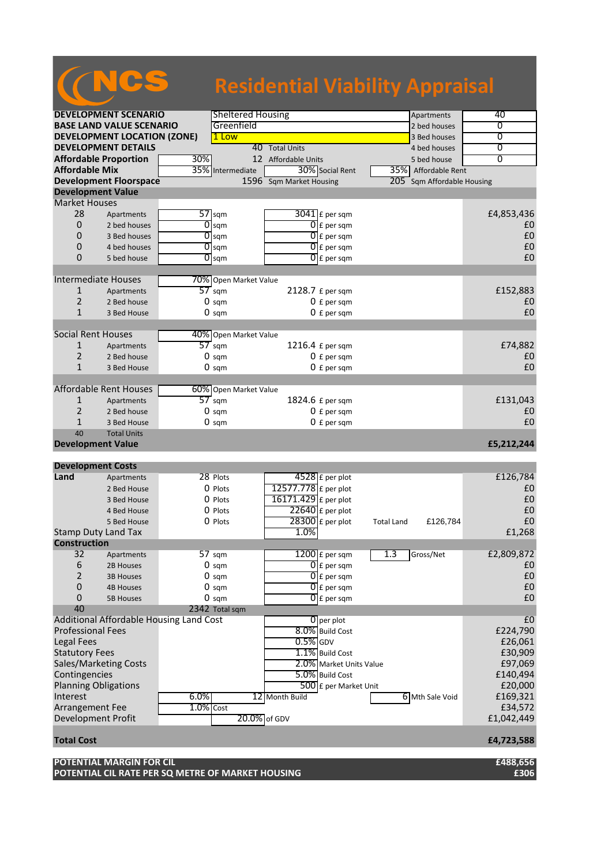|                       |                                    |     |                                        | <b>Residential Viability Appraisal</b> |                          |                   |                        |                |
|-----------------------|------------------------------------|-----|----------------------------------------|----------------------------------------|--------------------------|-------------------|------------------------|----------------|
|                       |                                    |     |                                        |                                        |                          |                   |                        |                |
|                       | <b>DEVELOPMENT SCENARIO</b>        |     | <b>Sheltered Housing</b><br>Greenfield |                                        |                          |                   | Apartments             | 40             |
|                       | <b>BASE LAND VALUE SCENARIO</b>    |     |                                        |                                        |                          |                   | 2 bed houses           | ᠊ᢐ             |
|                       | <b>DEVELOPMENT LOCATION (ZONE)</b> |     | 1 Low                                  |                                        |                          |                   | 3 Bed houses           | $\overline{0}$ |
|                       | <b>DEVELOPMENT DETAILS</b>         |     |                                        | 40 Total Units                         |                          |                   | 4 bed houses           | 0              |
|                       | <b>Affordable Proportion</b>       | 30% |                                        | 12 Affordable Units                    |                          |                   | 5 bed house            | $\overline{0}$ |
| <b>Affordable Mix</b> |                                    | 35% | Intermediate                           |                                        | 30% Social Rent          |                   | 35% Affordable Rent    |                |
|                       | <b>Development Floorspace</b>      |     |                                        | 1596 Sqm Market Housing                |                          | 205               | Sqm Affordable Housing |                |
|                       | <b>Development Value</b>           |     |                                        |                                        |                          |                   |                        |                |
| <b>Market Houses</b>  |                                    |     |                                        |                                        |                          |                   |                        |                |
| 28                    | Apartments                         | 57  | sqm                                    |                                        | $3041$ E per sqm         |                   |                        | £4,853,436     |
| $\overline{0}$        | 2 bed houses                       | 0   | sqm                                    |                                        | $\overline{0}$ E per sqm |                   |                        | £0             |
| 0                     | 3 Bed houses                       | 0   | sqm                                    |                                        | $\overline{0}$ £ per sqm |                   |                        | £0             |
| 0                     | 4 bed houses                       | ō   | sqm                                    |                                        | $\overline{0}$ £ per sqm |                   |                        | £0             |
| $\Omega$              | 5 bed house                        | 0   | sqm                                    |                                        | $\overline{0}$ £ per sqm |                   |                        | £0             |
|                       |                                    |     |                                        |                                        |                          |                   |                        |                |
|                       | <b>Intermediate Houses</b>         |     | 70% Open Market Value                  |                                        |                          |                   |                        |                |
| $\mathbf{1}$          | Apartments                         |     | $57 \text{ sqm}$                       |                                        | 2128.7 £ per sqm         |                   |                        | £152,883       |
| $\overline{2}$        | 2 Bed house                        |     | $0 \text{ sqm}$                        |                                        | 0 f per sam              |                   |                        | £0             |
| $\mathbf{1}$          | 3 Bed House                        |     | $0 \text{ sqm}$                        |                                        | 0 £ per sqm              |                   |                        | £0             |
|                       |                                    |     |                                        |                                        |                          |                   |                        |                |
|                       | Social Rent Houses                 |     | 40% Open Market Value                  |                                        |                          |                   |                        |                |
| $\mathbf{1}$          | Apartments                         |     | $57$ sqm                               |                                        | 1216.4 £ per sqm         |                   |                        | £74,882        |
| $\overline{2}$        | 2 Bed house                        |     | $0 \text{ sqm}$                        |                                        | 0 £ per sqm              |                   |                        | £0             |
| $\mathbf{1}$          | 3 Bed House                        |     | $0 \text{ sqm}$                        |                                        | 0 f per sam              |                   |                        | £0             |
|                       |                                    |     |                                        |                                        |                          |                   |                        |                |
|                       | <b>Affordable Rent Houses</b>      |     | 60% Open Market Value                  |                                        |                          |                   |                        |                |
| $\mathbf{1}$          | Apartments                         |     | $57$ sqm                               |                                        | 1824.6 £ per sqm         |                   |                        | £131,043       |
| $\overline{2}$        | 2 Bed house                        |     | $0 \text{ sqm}$                        |                                        | $0 f per$ sqm            |                   |                        | £0             |
| $\mathbf{1}$          | 3 Bed House                        |     | 0 sam                                  |                                        | $0 f per$ sqm            |                   |                        | £0             |
| 40                    | <b>Total Units</b>                 |     |                                        |                                        |                          |                   |                        |                |
|                       | <b>Development Value</b>           |     |                                        |                                        |                          |                   |                        | £5,212,244     |
|                       |                                    |     |                                        |                                        |                          |                   |                        |                |
|                       | <b>Development Costs</b>           |     |                                        |                                        |                          |                   |                        |                |
| Land                  | Apartments                         |     | 28 Plots                               |                                        | 4528 £ per plot          |                   |                        | £126,784       |
|                       | 2 Bed House                        |     | 0 Plots                                | 12577.778 £ per plot                   |                          |                   |                        | £0             |
|                       | 3 Bed House                        |     | 0 Plots                                | 16171.429 £ per plot                   |                          |                   |                        | £0             |
|                       | 4 Bed House                        |     | $0$ Plots                              |                                        | $22640$ £ per plot       |                   |                        | £0             |
|                       | 5 Bed House                        |     | $0$ Plots                              |                                        | 28300 £ per plot         | <b>Total Land</b> | £126.784               | £0             |

5 Bed House  $\begin{array}{|c|c|c|c|c|}\n\hline\n&28300 & \text{E per plot} & \text{Total Land} & \text{£126,784} & \text{E0}\n\hline\n\end{array}$ Stamp Duty Land Tax **2008 E1,268 Construction**<br>32 Apartments 57 sqm 1200 £ per sqm 1.3 Gross/Net E2,809,872<br>2B Houses 0 sqm 1.3 Gross/Net E2,809,872 6 2B Houses 0 sqm  $\overline{0}$  £ per sqm  $\overline{10}$   $\overline{28}$  Houses  $\overline{60}$ 2 3B Houses 0 sqm  $\bigcap_{\text{E}}$  per sqm  $\bigcup_{\text{E}}$  per sqm  $\bigcup$ 0 4B Houses 0 sqm  $\bigcap_{\text{E}}$  per sqm  $\bigcup_{\text{E}}$  per sqm  $\bigcup$ 0 5B Houses 0 sqm  $\bigcap_{\text{f}}$  per sqm  $\bigcup_{\text{f}}$  per sqm  $\bigcup$ 40 2342 Total sqm Additional Affordable Housing Land Cost 6 per plot 6 per plot 6 per plot 6 per plot 6 per plot 6 per plot 6 per plot 6 per plot 6 per plot 6 per plot 6 per plot 6 per plot 6 per plot 6 per plot 6 per plot 6 per plot 6 per Professional Fees **8.0%** Build Cost **1.1 Contract 1.1 Contract 1.1 Contract 1.1 Contract 1.1 Contract 1.1 Contract 1.1 Contract 1.1 Contract 1.1 Contract 1.1 Contract 1.1 Contract 1.1 Contract 1.1 Contract 1.1 Contract 1.1** Legal Fees  $\begin{bmatrix} 0.5\% \end{bmatrix}$ GDV  $\begin{bmatrix} 0.5\% \end{bmatrix}$ GDV  $\begin{bmatrix} 0.5\% \end{bmatrix}$ CDV  $\begin{bmatrix} 0.5\% \end{bmatrix}$ CDV  $\begin{bmatrix} 0.5\% \end{bmatrix}$ CDV  $\begin{bmatrix} 0.5\% \end{bmatrix}$ CDV  $\begin{bmatrix} 0.5\% \end{bmatrix}$ CDV  $\begin{bmatrix} 0.5\% \end{bmatrix}$ CDV  $\begin{bmatrix} 0.5\% \end{bmatrix$ Statutory Fees E30,909<br>
Sales/Marketing Costs **1.1%** Build Cost E30,909<br>
2.0% Market Units Value E97,069 Sales/Marketing Costs **2.0%** Market Units Value **1.0% Market Units Value** 197,069<br>Contingencies **2.0%** Build Cost **E140,494 Contingencies** Planning Obligations and the state of the state of the state of the state of the state of the state of the state of the state of the state of the state of the state of the state of the state of the state of the state of th Interest **6.0%** 12 Month Build 6 Mth Sale Void £169,321 Arrangement Fee 1.0% Cost 12 Month Build Arrangement Fee  $\overline{1.0\% \cos t}$  E34,572 Development Profit **Total Cost £4,723,588**

**POTENTIAL MARGIN FOR CIL £488,656 POTENTIAL CIL RATE PER SQ METRE OF MARKET HOUSING £306**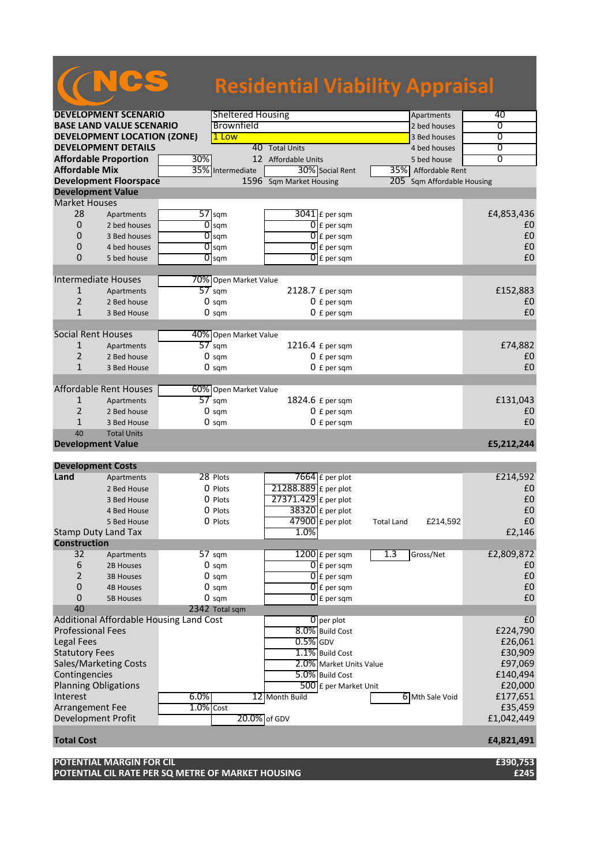|                             |                                         |                  |                          | <b>Residential Viability Appraisal</b> |                   |                        |                |
|-----------------------------|-----------------------------------------|------------------|--------------------------|----------------------------------------|-------------------|------------------------|----------------|
|                             |                                         |                  | <b>Sheltered Housing</b> |                                        |                   |                        | 40             |
|                             | <b>DEVELOPMENT SCENARIO</b>             |                  | Brownfield               |                                        |                   | Apartments             | 0              |
|                             | <b>BASE LAND VALUE SCENARIO</b>         |                  |                          |                                        |                   | 2 bed houses           |                |
|                             | <b>DEVELOPMENT LOCATION (ZONE)</b>      |                  | Low<br>1                 |                                        |                   | 3 Bed houses           | $\overline{0}$ |
|                             | <b>DEVELOPMENT DETAILS</b>              |                  |                          | 40 Total Units                         |                   | 4 bed houses           | 0              |
|                             | <b>Affordable Proportion</b>            | 30%              |                          | 12 Affordable Units                    |                   | 5 bed house            | $\overline{0}$ |
| <b>Affordable Mix</b>       |                                         | 35%              | Intermediate             | 30% Social Rent                        |                   | 35% Affordable Rent    |                |
|                             | <b>Development Floorspace</b>           |                  |                          | 1596 Sqm Market Housing                | 205               | Sqm Affordable Housing |                |
| <b>Development Value</b>    |                                         |                  |                          |                                        |                   |                        |                |
| <b>Market Houses</b>        |                                         |                  |                          |                                        |                   |                        |                |
| 28                          | Apartments                              |                  | $57$ sqm                 | $3041$ $E$ per sqm                     |                   |                        | £4,853,436     |
| 0                           | 2 bed houses                            | 0                | sqm                      | $\overline{0}$ E per sqm               |                   |                        | £0             |
| 0                           | 3 Bed houses                            |                  | $\overline{O}$ sqm       | $0$ E per sqm                          |                   |                        | £0             |
| 0                           | 4 bed houses                            |                  | $\overline{O}$ sqm       | 0<br>£ per sqm                         |                   |                        | £0             |
| 0                           |                                         |                  |                          |                                        |                   |                        | £0             |
|                             | 5 bed house                             |                  | $\overline{O}$ sqm       | $0$ E per sqm                          |                   |                        |                |
|                             |                                         |                  |                          |                                        |                   |                        |                |
|                             | <b>Intermediate Houses</b>              |                  | 70% Open Market Value    |                                        |                   |                        |                |
| $\mathbf{1}$                | Apartments                              | $57$ sqm         |                          | 2128.7 £ per sqm                       |                   |                        | £152,883       |
| $\overline{2}$              | 2 Bed house                             |                  | $0 \text{ sqm}$          | $0 f per$ sqm                          |                   |                        | £0             |
| $\mathbf{1}$                | 3 Bed House                             |                  | $0 \text{ sqm}$          | $0 f per$ sqm                          |                   |                        | £0             |
|                             |                                         |                  |                          |                                        |                   |                        |                |
| <b>Social Rent Houses</b>   |                                         |                  | 40% Open Market Value    |                                        |                   |                        |                |
| 1                           | Apartments                              | $57 \text{ sqm}$ |                          | 1216.4 £ per sqm                       |                   |                        | £74,882        |
| $\overline{2}$              | 2 Bed house                             |                  | $0 \text{ sqm}$          | $0 f per$ sqm                          |                   |                        | £0             |
| $\mathbf{1}$                | 3 Bed House                             |                  | $0 \text{ sqm}$          | $0 f per$ sqm                          |                   |                        | £0             |
|                             |                                         |                  |                          |                                        |                   |                        |                |
|                             | Affordable Rent Houses                  |                  | 60% Open Market Value    |                                        |                   |                        |                |
| 1                           | Apartments                              | $57$ sqm         |                          | 1824.6 £ per sqm                       |                   |                        | £131,043       |
|                             |                                         |                  |                          |                                        |                   |                        |                |
| $\overline{2}$              | 2 Bed house                             |                  | $0 \text{ sqm}$          | $0 f per$ sqm                          |                   |                        | £0             |
| $\mathbf{1}$                | 3 Bed House                             |                  | $0 \text{ sqm}$          | $0 f per$ sqm                          |                   |                        | £0             |
| 40                          | <b>Total Units</b>                      |                  |                          |                                        |                   |                        |                |
| <b>Development Value</b>    |                                         |                  |                          |                                        |                   |                        | £5,212,244     |
|                             |                                         |                  |                          |                                        |                   |                        |                |
| <b>Development Costs</b>    |                                         |                  |                          |                                        |                   |                        |                |
| Land                        | Apartments                              |                  | 28 Plots                 | 7664 $E$ per plot                      |                   |                        | £214,592       |
|                             | 2 Bed House                             |                  | O Plots                  | 21288.889 £ per plot                   |                   |                        | £0             |
|                             | 3 Bed House                             |                  | O Plots                  | 27371.429 £ per plot                   |                   |                        | £0             |
|                             | 4 Bed House                             |                  | 0 Plots                  | $38320$ £ per plot                     |                   |                        | £0             |
|                             | 5 Bed House                             |                  | 0 Plots                  | $47900$ £ per plot                     | <b>Total Land</b> | £214,592               | £0             |
|                             | Stamp Duty Land Tax                     |                  |                          | 1.0%                                   |                   |                        | £2,146         |
| <b>Construction</b>         |                                         |                  |                          |                                        |                   |                        |                |
| 32                          |                                         |                  |                          | $1200$ $E$ per sqm                     | 1.3               | Gross/Net              | £2,809,872     |
|                             | Apartments                              |                  | 57 sqm                   |                                        |                   |                        |                |
| 6                           | 2B Houses                               |                  | $0 \text{ sqm}$          | $\overline{0}$ £ per sqm               |                   |                        | £0             |
| $\overline{2}$              | <b>3B Houses</b>                        |                  | $0 \text{ sqm}$          | $[0]$ £ per sqm                        |                   |                        | £0             |
| 0                           | <b>4B Houses</b>                        |                  | $0 \text{ sqm}$          | $\overline{0}$ E per sqm               |                   |                        | £0             |
| 0                           | <b>5B Houses</b>                        |                  | $0 \text{ sqm}$          | $0$ E per sqm                          |                   |                        | £0             |
| 40                          |                                         |                  | 2342 Total sqm           |                                        |                   |                        |                |
|                             | Additional Affordable Housing Land Cost |                  |                          | $0$ per plot                           |                   |                        | E <sub>0</sub> |
| <b>Professional Fees</b>    |                                         |                  |                          | 8.0% Build Cost                        |                   |                        | £224,790       |
| Legal Fees                  |                                         |                  |                          | $0.5%$ GDV                             |                   |                        | £26,061        |
| <b>Statutory Fees</b>       |                                         |                  |                          | 1.1% Build Cost                        |                   |                        | £30,909        |
|                             | <b>Sales/Marketing Costs</b>            |                  |                          | 2.0% Market Units Value                |                   |                        | £97,069        |
|                             |                                         |                  |                          | 5.0% Build Cost                        |                   |                        | £140,494       |
| Contingencies               |                                         |                  |                          |                                        |                   |                        |                |
| <b>Planning Obligations</b> |                                         |                  |                          | 500 £ per Market Unit                  |                   |                        | £20,000        |
| Interest                    |                                         | 6.0%             |                          | 12 Month Build                         |                   | 6 Mth Sale Void        | £177,651       |
| Arrangement Fee             |                                         | $1.0\%$ Cost     |                          |                                        |                   |                        | £35,459        |
| Development Profit          |                                         |                  |                          | 20.0% of GDV                           |                   |                        | £1,042,449     |
|                             |                                         |                  |                          |                                        |                   |                        |                |
| <b>Total Cost</b>           |                                         |                  |                          |                                        |                   |                        | £4,821,491     |

**POTENTIAL MARGIN FOR CIL £390,753 POTENTIAL CIL RATE PER SQ METRE OF MARKET HOUSING £245**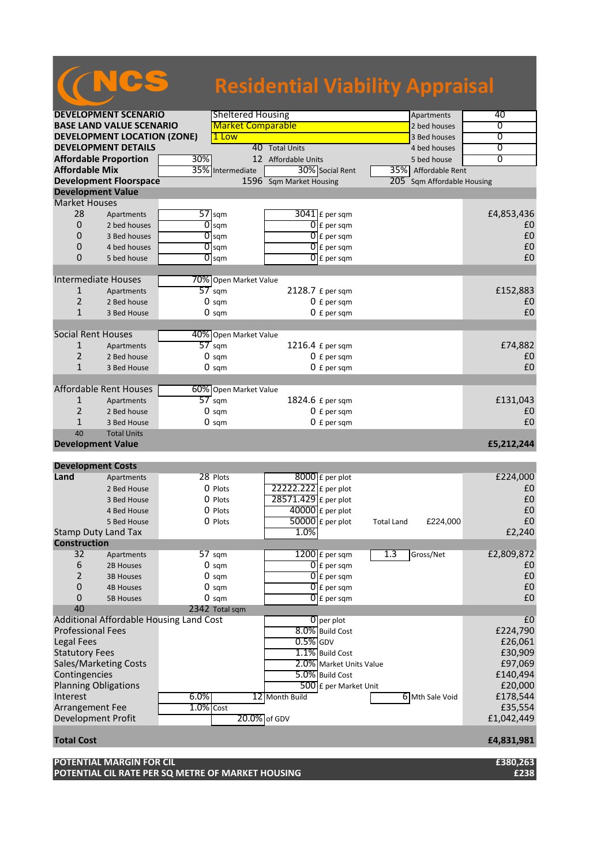|                             |                                         |              |                          | <b>Residential Viability Appraisal</b> |  |                   |                        |                |
|-----------------------------|-----------------------------------------|--------------|--------------------------|----------------------------------------|--|-------------------|------------------------|----------------|
|                             | <b>DEVELOPMENT SCENARIO</b>             |              | <b>Sheltered Housing</b> |                                        |  |                   | Apartments             | 40             |
|                             | <b>BASE LAND VALUE SCENARIO</b>         |              | <b>Market Comparable</b> |                                        |  |                   | 2 bed houses           | 0              |
|                             | <b>DEVELOPMENT LOCATION (ZONE)</b>      |              | 1 Low                    |                                        |  |                   | 3 Bed houses           | $\overline{0}$ |
|                             | <b>DEVELOPMENT DETAILS</b>              |              |                          | 40 Total Units                         |  |                   | 4 bed houses           | 0              |
|                             | <b>Affordable Proportion</b>            | 30%          |                          | 12 Affordable Units                    |  |                   | 5 bed house            | $\overline{0}$ |
| <b>Affordable Mix</b>       |                                         | 35%          | Intermediate             | 30% Social Rent<br>35%I                |  | Affordable Rent   |                        |                |
|                             | <b>Development Floorspace</b>           |              |                          | 1596 Sqm Market Housing                |  | 205               | Sqm Affordable Housing |                |
| <b>Development Value</b>    |                                         |              |                          |                                        |  |                   |                        |                |
| <b>Market Houses</b>        |                                         |              |                          |                                        |  |                   |                        |                |
| 28                          |                                         |              | $57$ sqm                 |                                        |  |                   |                        |                |
|                             | Apartments                              |              |                          | $3041$ $E$ per sqm                     |  |                   |                        | £4,853,436     |
| 0                           | 2 bed houses                            | 01           | sqm                      | $\overline{0}$ E per sqm               |  |                   |                        | £0             |
| 0                           | 3 Bed houses                            |              | $\overline{O}$ sqm       | $\overline{0}$ E per sqm               |  |                   |                        | £0             |
| 0                           | 4 bed houses                            |              | $\overline{O}$ sqm       | 0<br>£ per sqm                         |  |                   |                        | £0             |
| 0                           | 5 bed house                             |              | $\overline{O}$ sqm       | $\overline{0}$ E per sqm               |  |                   |                        | £0             |
|                             |                                         |              |                          |                                        |  |                   |                        |                |
| <b>Intermediate Houses</b>  |                                         |              | 70% Open Market Value    |                                        |  |                   |                        |                |
| $\mathbf{1}$                | Apartments                              |              | $57$ sqm                 | 2128.7 £ per sqm                       |  |                   |                        | £152,883       |
| 2                           | 2 Bed house                             |              | $0 \text{ sqm}$          | $0 f per$ sqm                          |  |                   |                        | £0             |
| $\mathbf{1}$                | 3 Bed House                             |              | $0 \text{ sqm}$          | $0 f per$ sqm                          |  |                   |                        | £0             |
|                             |                                         |              |                          |                                        |  |                   |                        |                |
| <b>Social Rent Houses</b>   |                                         |              | 40% Open Market Value    |                                        |  |                   |                        |                |
| 1                           | Apartments                              |              | $57$ sqm                 | 1216.4 £ per sqm                       |  |                   |                        | £74,882        |
| $\overline{2}$              | 2 Bed house                             |              | $0 \text{ sqm}$          | $0 f per$ sqm                          |  |                   |                        | £0             |
| $\mathbf{1}$                | 3 Bed House                             |              | $0 \text{ sqm}$          | $0 f per$ sqm                          |  |                   |                        | £0             |
|                             |                                         |              |                          |                                        |  |                   |                        |                |
|                             | <b>Affordable Rent Houses</b>           |              | 60% Open Market Value    |                                        |  |                   |                        |                |
| 1                           | Apartments                              |              | $57 \text{ sqm}$         | 1824.6 £ per sqm                       |  |                   |                        | £131,043       |
| $\overline{2}$              | 2 Bed house                             |              | $0 \text{ sqm}$          | $0 f per$ sqm                          |  |                   |                        | £0             |
| $\mathbf 1$                 | 3 Bed House                             |              | $0 \text{ sqm}$          | $0 f per$ sqm                          |  |                   |                        | £0             |
| 40                          | <b>Total Units</b>                      |              |                          |                                        |  |                   |                        |                |
| <b>Development Value</b>    |                                         |              |                          |                                        |  |                   |                        |                |
|                             |                                         |              |                          |                                        |  |                   |                        | £5,212,244     |
|                             |                                         |              |                          |                                        |  |                   |                        |                |
| <b>Development Costs</b>    |                                         |              |                          |                                        |  |                   |                        |                |
| Land                        | Apartments                              |              | 28 Plots                 | $8000$ $E$ per plot                    |  |                   |                        | £224,000       |
|                             | 2 Bed House                             |              | $0$ Plots                | 22222.222 £ per plot                   |  |                   |                        | £0             |
|                             | 3 Bed House                             |              | 0 Plots                  | 28571.429 £ per plot                   |  |                   |                        | £0             |
|                             | 4 Bed House                             |              | 0 Plots                  | $40000$ £ per plot                     |  |                   |                        | £0             |
|                             | 5 Bed House                             |              | 0 Plots                  | $50000$ £ per plot                     |  | <b>Total Land</b> | £224,000               | £0             |
| Stamp Duty Land Tax         |                                         |              |                          | 1.0%                                   |  |                   |                        | £2,240         |
| <b>Construction</b>         |                                         |              |                          |                                        |  |                   |                        |                |
| 32                          | Apartments                              |              | 57 sqm                   | $1200$ $E$ per sqm                     |  | 1.3               | Gross/Net              | £2,809,872     |
| 6                           | 2B Houses                               |              | $0 \text{ sqm}$          | $0 \mathsf{E}$ per sqm                 |  |                   |                        | £0             |
| 2                           | <b>3B Houses</b>                        |              | $0 \text{ sqm}$          | $\overline{0}$ E per sqm               |  |                   |                        | £0             |
| 0                           | <b>4B Houses</b>                        |              | $0 \text{ sam}$          | $\overline{0}$ E per sqm               |  |                   |                        | £0             |
| $\mathbf{0}$                | <b>5B Houses</b>                        |              | $0 \text{ sqm}$          | $\overline{0}$ E per sqm               |  |                   |                        | £0             |
| 40                          |                                         |              | 2342 Total sqm           |                                        |  |                   |                        |                |
|                             | Additional Affordable Housing Land Cost |              |                          | O per plot                             |  |                   |                        | E <sub>0</sub> |
| <b>Professional Fees</b>    |                                         |              |                          | 8.0% Build Cost                        |  |                   |                        | £224,790       |
| Legal Fees                  |                                         |              |                          | $0.5\%$ GDV                            |  |                   |                        | £26,061        |
| <b>Statutory Fees</b>       |                                         |              |                          | 1.1% Build Cost                        |  |                   |                        | £30,909        |
|                             | Sales/Marketing Costs                   |              |                          | 2.0% Market Units Value                |  |                   |                        | £97,069        |
| Contingencies               |                                         |              |                          | 5.0% Build Cost                        |  |                   |                        | £140,494       |
|                             |                                         |              |                          |                                        |  |                   |                        |                |
| <b>Planning Obligations</b> |                                         |              |                          | 500 £ per Market Unit                  |  |                   |                        | £20,000        |
| Interest                    |                                         | 6.0%         |                          | 12 Month Build                         |  |                   | 6 Mth Sale Void        | £178,544       |
| Arrangement Fee             |                                         | $1.0\%$ Cost |                          |                                        |  |                   |                        | £35,554        |
| Development Profit          |                                         |              | 20.0% of GDV             |                                        |  |                   |                        | £1,042,449     |

**Total Cost £4,831,981**

**POTENTIAL MARGIN FOR CIL £380,263 POTENTIAL CIL RATE PER SQ METRE OF MARKET HOUSING £238**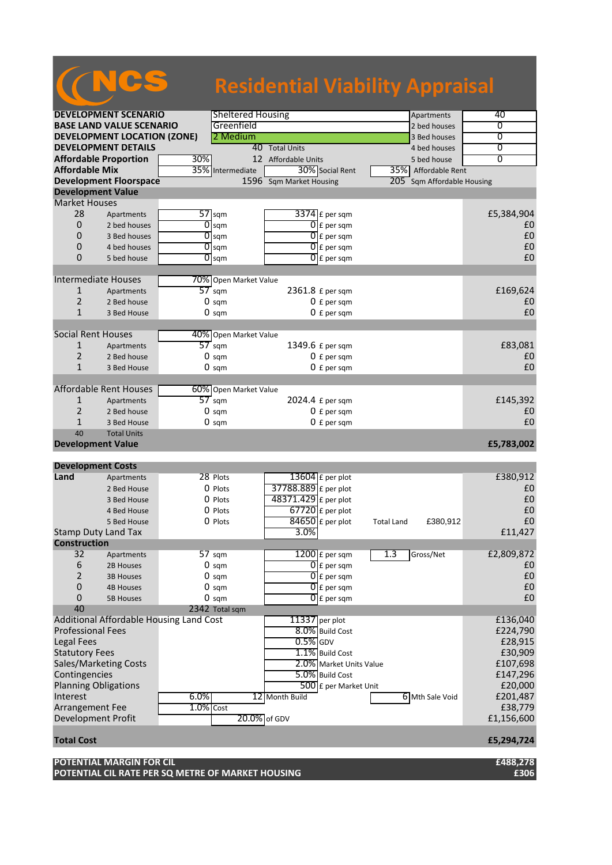|                                            |                                         |              |                          | <b>Residential Viability Appraisal</b>     |                               |                |
|--------------------------------------------|-----------------------------------------|--------------|--------------------------|--------------------------------------------|-------------------------------|----------------|
|                                            | <b>DEVELOPMENT SCENARIO</b>             |              | <b>Sheltered Housing</b> |                                            | Apartments                    | 40             |
|                                            | <b>BASE LAND VALUE SCENARIO</b>         |              | Greenfield               |                                            | 2 bed houses                  | 0              |
|                                            | <b>DEVELOPMENT LOCATION (ZONE)</b>      |              | 2 Medium                 |                                            | 3 Bed houses                  | $\overline{0}$ |
|                                            | <b>DEVELOPMENT DETAILS</b>              |              |                          | 40 Total Units                             | 4 bed houses                  | 0              |
| <b>Affordable Proportion</b>               |                                         | 30%          |                          | 12 Affordable Units                        | 5 bed house                   | $\overline{0}$ |
| <b>Affordable Mix</b>                      |                                         | 35%          | Intermediate             | 30% Social Rent                            | 35% Affordable Rent           |                |
|                                            | <b>Development Floorspace</b>           |              |                          | 1596 Sqm Market Housing                    | 205<br>Sqm Affordable Housing |                |
| <b>Development Value</b>                   |                                         |              |                          |                                            |                               |                |
| <b>Market Houses</b>                       |                                         |              |                          |                                            |                               |                |
| 28                                         | Apartments                              |              | $57$ sqm                 | $3374$ £ per sqm                           |                               | £5,384,904     |
| $\mathbf{0}$                               | 2 bed houses                            | 0            | sqm                      | $\overline{0}$ E per sqm                   |                               | £0             |
| 0                                          | 3 Bed houses                            |              | $\overline{0}$ sqm       | $\overline{0}$ E per sqm                   |                               | £0             |
| 0                                          | 4 bed houses                            |              | $\overline{0}$ sqm       | $\overline{0}$ E per sqm                   |                               | £0             |
| 0                                          | 5 bed house                             |              | $\overline{O}$ sqm       | $[0]$ £ per sqm                            |                               | £0             |
|                                            |                                         |              |                          |                                            |                               |                |
| <b>Intermediate Houses</b>                 |                                         |              | 70% Open Market Value    |                                            |                               |                |
| $\mathbf{1}$                               | Apartments                              |              | $57$ sqm                 | 2361.8 £ per sqm                           |                               | £169,624       |
| $\overline{2}$                             | 2 Bed house                             |              | $0 \text{ sqm}$          | $0 f per$ sqm                              |                               | £0             |
| $\mathbf{1}$                               | 3 Bed House                             |              | $0 \text{ sqm}$          | $0 f per$ sqm                              |                               | £0             |
|                                            |                                         |              |                          |                                            |                               |                |
| <b>Social Rent Houses</b>                  |                                         |              | 40% Open Market Value    |                                            |                               |                |
| $\mathbf{1}$                               | Apartments                              |              | $57$ sqm                 | 1349.6 £ per sqm                           |                               | £83,081        |
| $\overline{2}$                             | 2 Bed house                             |              | $0 \text{ sqm}$          | $0 f per$ sqm                              |                               | £0             |
| $\mathbf{1}$                               | 3 Bed House                             |              | $0 \text{ sqm}$          | $0 f per$ sqm                              |                               | £0             |
|                                            | <b>Affordable Rent Houses</b>           |              | 60% Open Market Value    |                                            |                               |                |
| 1                                          | Apartments                              |              | $57$ sqm                 | 2024.4 £ per sqm                           |                               | £145,392       |
| $\overline{2}$                             | 2 Bed house                             |              | $0 \text{ sqm}$          | $0 f per$ sqm                              |                               | £0             |
| $\mathbf{1}$                               | 3 Bed House                             |              | $0 \text{ sqm}$          | $0 f per$ sqm                              |                               | £0             |
| 40                                         | <b>Total Units</b>                      |              |                          |                                            |                               |                |
| <b>Development Value</b>                   |                                         |              |                          |                                            |                               | £5,783,002     |
|                                            |                                         |              |                          |                                            |                               |                |
| <b>Development Costs</b>                   |                                         |              | 28 Plots                 |                                            |                               |                |
| Land                                       | Apartments                              |              |                          | $13604$ E per plot                         |                               | £380,912       |
|                                            | 2 Bed House                             |              | O Plots                  | 37788.889 £ per plot                       |                               | £0             |
|                                            | 3 Bed House                             |              | O Plots                  | 48371.429 £ per plot<br>$67720$ £ per plot |                               | £0<br>£0       |
|                                            | 4 Bed House                             |              | 0 Plots<br>0 Plots       | $84650$ £ per plot                         |                               | £0             |
|                                            | 5 Bed House                             |              |                          | $3.0\%$                                    | £380,912<br><b>Total Land</b> | £11,427        |
| Stamp Duty Land Tax<br><b>Construction</b> |                                         |              |                          |                                            |                               |                |
| 32                                         | Apartments                              |              | 57 sqm                   | $1200$ $E$ per sqm                         | 1.3<br>Gross/Net              | £2,809,872     |
| 6                                          | 2B Houses                               |              | $0 \text{ sqm}$          | $\overline{0}$ £ per sqm                   |                               | £0             |
| $\overline{2}$                             | <b>3B Houses</b>                        |              | $0 \text{ sqm}$          | $\overline{0}$ E per sqm                   |                               | £0             |
| 0                                          | <b>4B Houses</b>                        |              | $0 \text{ sqm}$          | $0 \mathsf{E}$ per sqm                     |                               | £0             |
| 0                                          | <b>5B Houses</b>                        |              | $0 \text{ sqm}$          | $\overline{0}$ £ per sqm                   |                               | £0             |
| 40                                         |                                         |              | 2342 Total sqm           |                                            |                               |                |
|                                            | Additional Affordable Housing Land Cost |              |                          | 11337 per plot                             |                               | £136,040       |
| <b>Professional Fees</b>                   |                                         |              |                          | 8.0% Build Cost                            |                               | £224,790       |
| Legal Fees                                 |                                         |              |                          | $0.5%$ GDV                                 |                               | £28,915        |
| <b>Statutory Fees</b>                      |                                         |              |                          | 1.1% Build Cost                            |                               | £30,909        |
| Sales/Marketing Costs                      |                                         |              |                          | 2.0% Market Units Value                    |                               | £107,698       |
| Contingencies                              |                                         |              |                          | 5.0% Build Cost                            |                               | £147,296       |
| <b>Planning Obligations</b>                |                                         |              |                          | 500 £ per Market Unit                      |                               | £20,000        |
| Interest                                   |                                         | 6.0%         |                          | 12 Month Build                             | 6 Mth Sale Void               | £201,487       |
| Arrangement Fee                            |                                         | $1.0\%$ Cost |                          |                                            |                               | £38,779        |
| <b>Development Profit</b>                  |                                         |              |                          | 20.0% of GDV                               |                               | £1,156,600     |
| <b>Total Cost</b>                          |                                         |              |                          |                                            |                               | £5,294,724     |
|                                            | <b>POTENTIAL MARGIN FOR CIL</b>         |              |                          |                                            |                               | £488,278       |

**POTENTIAL CIL RATE PER SQ METRE OF MARKET HOUSING £306**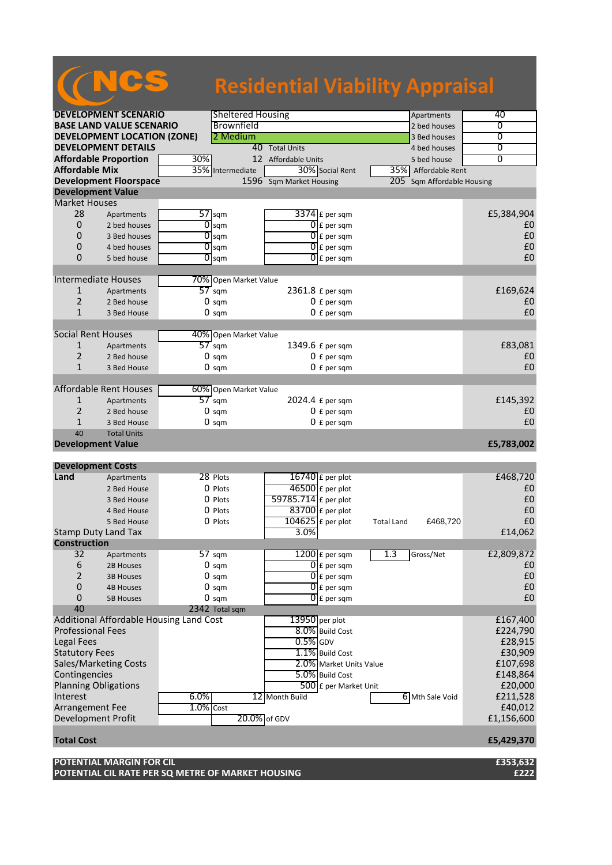|                                              |                                                                               |              |                          |                          | <b>Residential Viability Appraisal</b> |                     |
|----------------------------------------------|-------------------------------------------------------------------------------|--------------|--------------------------|--------------------------|----------------------------------------|---------------------|
|                                              | <b>DEVELOPMENT SCENARIO</b>                                                   |              | <b>Sheltered Housing</b> |                          | Apartments                             | 40                  |
|                                              | <b>BASE LAND VALUE SCENARIO</b>                                               |              | Brownfield               |                          | 2 bed houses                           | 0                   |
|                                              | <b>DEVELOPMENT LOCATION (ZONE)</b>                                            |              | 2 Medium                 |                          | 3 Bed houses                           | 0                   |
|                                              | <b>DEVELOPMENT DETAILS</b>                                                    |              |                          | 40 Total Units           | 4 bed houses                           | 0                   |
|                                              | <b>Affordable Proportion</b>                                                  | 30%          |                          | 12 Affordable Units      | 5 bed house                            | $\overline{0}$      |
| <b>Affordable Mix</b>                        |                                                                               | 35%          | Intermediate             | 30% Social Rent          | 35% Affordable Rent                    |                     |
|                                              | <b>Development Floorspace</b>                                                 |              |                          | 1596 Sqm Market Housing  | 205 Sqm Affordable Housing             |                     |
| <b>Development Value</b>                     |                                                                               |              |                          |                          |                                        |                     |
| <b>Market Houses</b>                         |                                                                               |              |                          |                          |                                        |                     |
| 28                                           | Apartments                                                                    |              | $57$ sqm                 | $3374$ £ per sqm         |                                        | £5,384,904          |
| 0                                            | 2 bed houses                                                                  | 0            | sqm                      | $\overline{0}$ E per sqm |                                        | £0                  |
| 0                                            | 3 Bed houses                                                                  |              | $\overline{0}$ sqm       | $\overline{0}$ E per sqm |                                        | £0                  |
| 0                                            | 4 bed houses                                                                  |              | $\overline{0}$ sqm       | $\overline{0}$ E per sqm |                                        | £0                  |
| 0                                            | 5 bed house                                                                   |              | $\overline{O}$ sqm       | $\overline{0}$ E per sqm |                                        | £0                  |
|                                              |                                                                               |              |                          |                          |                                        |                     |
|                                              | <b>Intermediate Houses</b>                                                    |              | 70% Open Market Value    |                          |                                        |                     |
| $\mathbf{1}$                                 | Apartments                                                                    |              | $57$ sqm                 | 2361.8 £ per sqm         |                                        | £169,624            |
| 2                                            | 2 Bed house                                                                   |              | $0 \text{ sqm}$          | $0 f per$ sqm            |                                        | £0                  |
| $\mathbf{1}$                                 | 3 Bed House                                                                   |              | $0 \text{ sqm}$          | $0 f per$ sqm            |                                        | £0                  |
|                                              |                                                                               |              |                          |                          |                                        |                     |
| <b>Social Rent Houses</b>                    |                                                                               |              | 40% Open Market Value    |                          |                                        |                     |
| 1                                            | Apartments                                                                    |              | $57 \text{ sqm}$         | 1349.6 £ per sqm         |                                        | £83,081             |
| 2                                            | 2 Bed house                                                                   |              | $0 \text{ sqm}$          | 0 £ per sqm              |                                        | £0                  |
| $\mathbf{1}$                                 | 3 Bed House                                                                   |              | $0 \text{ sqm}$          | $0 f per$ sqm            |                                        | £0                  |
|                                              |                                                                               |              |                          |                          |                                        |                     |
|                                              | Affordable Rent Houses                                                        |              | 60% Open Market Value    |                          |                                        |                     |
| 1                                            | Apartments                                                                    |              | $57$ sqm                 | 2024.4 £ per sqm         |                                        | £145,392            |
| $\overline{2}$                               | 2 Bed house                                                                   |              | $0 \text{ sqm}$          | $0 f per$ sqm            |                                        | £0                  |
| $\mathbf{1}$                                 | 3 Bed House                                                                   |              | $0 \text{ sqm}$          | $0 f per$ sqm            |                                        | £0                  |
| 40                                           | <b>Total Units</b>                                                            |              |                          |                          |                                        |                     |
| <b>Development Value</b>                     |                                                                               |              |                          |                          |                                        | £5,783,002          |
| <b>Development Costs</b>                     |                                                                               |              |                          |                          |                                        |                     |
| Land                                         | Apartments                                                                    |              | 28 Plots                 | $16740$ £ per plot       |                                        | £468,720            |
|                                              | 2 Bed House                                                                   |              | $0$ Plots                | 46500 £ per plot         |                                        | £0                  |
|                                              | 3 Bed House                                                                   |              | O Plots                  | 59785.714 £ per plot     |                                        | £0                  |
|                                              | 4 Bed House                                                                   |              | 0 Plots                  | 83700 £ per plot         |                                        | £0                  |
|                                              | 5 Bed House                                                                   |              | 0 Plots                  | $104625$ £ per plot      | £468,720<br><b>Total Land</b>          | £0                  |
|                                              | <b>Stamp Duty Land Tax</b>                                                    |              |                          | $3.0\%$                  |                                        | £14,062             |
| <b>Construction</b>                          |                                                                               |              |                          |                          |                                        |                     |
| 32                                           | Apartments                                                                    |              | 57 sqm                   | $1200$ $E$ per sqm       | 1.3<br>Gross/Net                       | £2,809,872          |
| 6                                            | 2B Houses                                                                     |              | $0 \text{ sqm}$          | $\overline{0}$ £ per sqm |                                        | £0                  |
| $\overline{2}$                               | <b>3B Houses</b>                                                              |              | $0 \text{ sqm}$          | $[0]$ £ per sqm          |                                        | £0                  |
| 0                                            | <b>4B Houses</b>                                                              |              | $0 \text{ sqm}$          | $\overline{0}$ E per sqm |                                        | £0                  |
| 0                                            | <b>5B Houses</b>                                                              |              | $0 \text{ sqm}$          | $\overline{0}$ E per sqm |                                        | £0                  |
| 40                                           |                                                                               |              | 2342 Total sqm           |                          |                                        |                     |
|                                              | Additional Affordable Housing Land Cost                                       |              |                          | 13950 per plot           |                                        | £167,400            |
| <b>Professional Fees</b>                     |                                                                               |              |                          | 8.0% Build Cost          |                                        | £224,790            |
| Legal Fees                                   |                                                                               |              |                          | $0.5\%$ GDV              |                                        | £28,915             |
| <b>Statutory Fees</b>                        |                                                                               |              |                          | 1.1% Build Cost          |                                        | £30,909             |
|                                              | Sales/Marketing Costs                                                         |              |                          | 2.0% Market Units Value  |                                        | £107,698            |
|                                              |                                                                               |              |                          |                          |                                        |                     |
| Contingencies<br><b>Planning Obligations</b> |                                                                               |              |                          | 5.0% Build Cost          |                                        | £148,864<br>£20,000 |
|                                              |                                                                               |              |                          | 500 £ per Market Unit    |                                        |                     |
| Interest                                     |                                                                               | 6.0%         |                          | 12 Month Build           | 6 Mth Sale Void                        | £211,528            |
| Arrangement Fee                              |                                                                               | $1.0\%$ Cost |                          |                          |                                        | £40,012             |
| <b>Development Profit</b>                    |                                                                               |              | 20.0% of GDV             |                          |                                        | £1,156,600          |
| <b>Total Cost</b>                            |                                                                               |              |                          |                          |                                        | £5,429,370          |
|                                              | POTENTIAL MARGIN FOR CIL<br>POTENTIAL CIL RATE PER SQ METRE OF MARKET HOUSING |              |                          |                          |                                        | £353,632<br>£222    |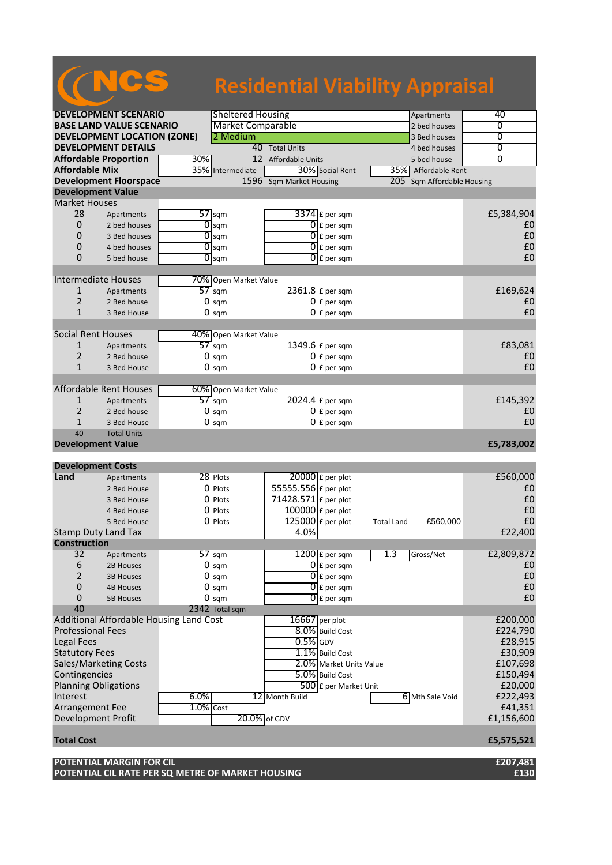|                             |                                         |                  |                          | <b>Residential Viability Appraisal</b> |                   |                        |                |
|-----------------------------|-----------------------------------------|------------------|--------------------------|----------------------------------------|-------------------|------------------------|----------------|
|                             | <b>DEVELOPMENT SCENARIO</b>             |                  | <b>Sheltered Housing</b> |                                        |                   | Apartments             | 40             |
|                             | <b>BASE LAND VALUE SCENARIO</b>         |                  | <b>Market Comparable</b> |                                        |                   | 2 bed houses           | 0              |
|                             | <b>DEVELOPMENT LOCATION (ZONE)</b>      |                  | 2 Medium                 |                                        |                   | 3 Bed houses           | 0              |
|                             | <b>DEVELOPMENT DETAILS</b>              |                  |                          | 40 Total Units                         |                   | 4 bed houses           | 0              |
|                             | <b>Affordable Proportion</b>            | 30%              |                          | 12 Affordable Units                    |                   | 5 bed house            | $\overline{0}$ |
| <b>Affordable Mix</b>       |                                         | 35%              | Intermediate             | 30% Social Rent                        | 35%I              | Affordable Rent        |                |
|                             |                                         |                  |                          |                                        |                   |                        |                |
|                             | <b>Development Floorspace</b>           |                  |                          | 1596 Sqm Market Housing                | 205               | Sqm Affordable Housing |                |
| <b>Development Value</b>    |                                         |                  |                          |                                        |                   |                        |                |
| <b>Market Houses</b>        |                                         |                  |                          |                                        |                   |                        |                |
| 28                          | Apartments                              | $57$ sqm         |                          | $3374$ £ per sqm                       |                   |                        | £5,384,904     |
| 0                           | 2 bed houses                            |                  | $\overline{0}$ sqm       | $\overline{0}$ E per sqm               |                   |                        | £0             |
| 0                           | 3 Bed houses                            |                  | $\overline{O}$ sqm       | $0$ E per sqm                          |                   |                        | £0             |
| 0                           | 4 bed houses                            |                  | $\overline{0}$ sqm       | 0<br>£ per sqm                         |                   |                        | £0             |
| 0                           | 5 bed house                             |                  | $\overline{O}$ sqm       | $[0]$ £ per sqm                        |                   |                        | £0             |
|                             |                                         |                  |                          |                                        |                   |                        |                |
| <b>Intermediate Houses</b>  |                                         |                  | 70% Open Market Value    |                                        |                   |                        |                |
| $\mathbf{1}$                | Apartments                              | $57$ sqm         |                          | 2361.8 £ per sqm                       |                   |                        | £169,624       |
| 2                           | 2 Bed house                             |                  | $0 \text{ sqm}$          | $0$ £ per sqm                          |                   |                        | £0             |
| $\mathbf{1}$                | 3 Bed House                             |                  |                          |                                        |                   |                        | £0             |
|                             |                                         |                  | $0 \text{ sqm}$          | $0 f per$ sqm                          |                   |                        |                |
| <b>Social Rent Houses</b>   |                                         |                  |                          |                                        |                   |                        |                |
|                             |                                         |                  | 40% Open Market Value    |                                        |                   |                        |                |
| 1                           | Apartments                              | $57$ sqm         |                          | 1349.6 £ per sqm                       |                   |                        | £83,081        |
| 2                           | 2 Bed house                             |                  | $0 \text{ sqm}$          | $0 f per$ sqm                          |                   |                        | £0             |
| $\mathbf{1}$                | 3 Bed House                             |                  | $0 \text{ sqm}$          | $0 f per$ sqm                          |                   |                        | £0             |
|                             |                                         |                  |                          |                                        |                   |                        |                |
|                             | <b>Affordable Rent Houses</b>           |                  | 60% Open Market Value    |                                        |                   |                        |                |
| 1                           | Apartments                              | $57$ sqm         |                          | 2024.4 £ per sqm                       |                   |                        | £145,392       |
| $\overline{2}$              | 2 Bed house                             |                  | $0 \text{ sqm}$          | $0$ £ per sqm                          |                   |                        | £0             |
| $\mathbf{1}$                | 3 Bed House                             |                  | $0 \text{ sqm}$          | $0 f per$ sqm                          |                   |                        | £0             |
| 40                          | <b>Total Units</b>                      |                  |                          |                                        |                   |                        |                |
| <b>Development Value</b>    |                                         |                  |                          |                                        |                   |                        | £5,783,002     |
|                             |                                         |                  |                          |                                        |                   |                        |                |
| <b>Development Costs</b>    |                                         |                  |                          |                                        |                   |                        |                |
| Land                        | Apartments                              |                  | 28 Plots                 | $20000$ $E$ per plot                   |                   |                        | £560,000       |
|                             | 2 Bed House                             |                  | O Plots                  | 55555.556 £ per plot                   |                   |                        | £0             |
|                             | 3 Bed House                             |                  | O Plots                  | $71428.571$ £ per plot                 |                   |                        | £0             |
|                             |                                         |                  |                          | $100000$ £ per plot                    |                   |                        | £0             |
|                             | 4 Bed House                             |                  | 0 Plots                  |                                        |                   |                        |                |
|                             | 5 Bed House                             |                  | 0 Plots                  | 125000 £ per plot                      | <b>Total Land</b> | £560,000               | £0             |
| <b>Stamp Duty Land Tax</b>  |                                         |                  |                          | 4.0%                                   |                   |                        | £22,400        |
| <b>Construction</b>         |                                         |                  |                          |                                        |                   |                        |                |
| 32                          | Apartments                              | $57 \text{ sqm}$ |                          | $1200$ £ per sqm                       | 1.3               | Gross/Net              | £2,809,872     |
| 6                           | 2B Houses                               |                  | $0 \text{ sqm}$          | $\overline{0}$ £ per sqm               |                   |                        | £0             |
| $\overline{2}$              | <b>3B Houses</b>                        |                  | $0 \text{ sqm}$          | $\overline{0}$ £ per sqm               |                   |                        | £0             |
| 0                           | <b>4B Houses</b>                        |                  | $0 \text{ sqm}$          | $\overline{0}$ E per sqm               |                   |                        | £0             |
| 0                           | <b>5B Houses</b>                        |                  | $0 \text{ sqm}$          | $\overline{0}$ E per sam               |                   |                        | £0             |
| 40                          |                                         |                  | 2342 Total sqm           |                                        |                   |                        |                |
|                             | Additional Affordable Housing Land Cost |                  |                          | 16667 per plot                         |                   |                        | £200,000       |
| <b>Professional Fees</b>    |                                         |                  |                          | 8.0% Build Cost                        |                   |                        | £224,790       |
| Legal Fees                  |                                         |                  |                          | $0.5%$ GDV                             |                   |                        | £28,915        |
|                             |                                         |                  |                          | 1.1% Build Cost                        |                   |                        |                |
| <b>Statutory Fees</b>       |                                         |                  |                          |                                        |                   |                        | £30,909        |
|                             | Sales/Marketing Costs                   |                  |                          | 2.0% Market Units Value                |                   |                        | £107,698       |
| Contingencies               |                                         |                  |                          | 5.0% Build Cost                        |                   |                        | £150,494       |
| <b>Planning Obligations</b> |                                         |                  |                          | 500 £ per Market Unit                  |                   |                        | £20,000        |
| Interest                    |                                         | $6.0\%$          |                          | 12 Month Build                         |                   | 6 Mth Sale Void        | £222,493       |
| Arrangement Fee             |                                         | $1.0%$ Cost      |                          |                                        |                   |                        | £41,351        |
| Development Profit          |                                         |                  |                          | 20.0% of GDV                           |                   |                        | £1,156,600     |
|                             |                                         |                  |                          |                                        |                   |                        |                |
| <b>Total Cost</b>           |                                         |                  |                          |                                        |                   |                        | £5,575,521     |

**POTENTIAL MARGIN FOR CIL £207,481 POTENTIAL CIL RATE PER SQ METRE OF MARKET HOUSING £130**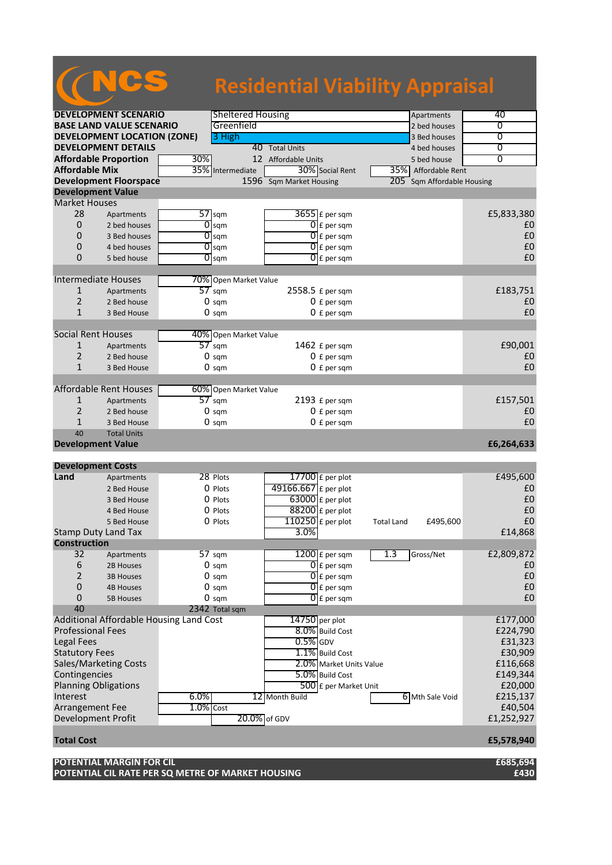|                                |                                                                                      |              |                                          | <b>Residential Viability Appraisal</b> |                          |                   |                            |                    |
|--------------------------------|--------------------------------------------------------------------------------------|--------------|------------------------------------------|----------------------------------------|--------------------------|-------------------|----------------------------|--------------------|
|                                | <b>DEVELOPMENT SCENARIO</b>                                                          |              | <b>Sheltered Housing</b>                 |                                        |                          |                   | Apartments                 | 40                 |
|                                | <b>BASE LAND VALUE SCENARIO</b>                                                      |              | Greenfield                               |                                        |                          |                   | 2 bed houses               | 0                  |
|                                | <b>DEVELOPMENT LOCATION (ZONE)</b>                                                   |              | 3 High                                   |                                        |                          |                   | 3 Bed houses               | $\overline{0}$     |
|                                | <b>DEVELOPMENT DETAILS</b>                                                           |              |                                          | 40 Total Units                         |                          |                   | 4 bed houses               | 0                  |
|                                | <b>Affordable Proportion</b>                                                         | 30%          |                                          | 12 Affordable Units                    |                          |                   | 5 bed house                | $\overline{0}$     |
| <b>Affordable Mix</b>          |                                                                                      |              | 35% Intermediate                         |                                        | 30% Social Rent          |                   | 35% Affordable Rent        |                    |
|                                | <b>Development Floorspace</b>                                                        |              |                                          | 1596 Sqm Market Housing                |                          |                   | 205 Sqm Affordable Housing |                    |
| <b>Development Value</b>       |                                                                                      |              |                                          |                                        |                          |                   |                            |                    |
| <b>Market Houses</b>           |                                                                                      |              |                                          |                                        |                          |                   |                            |                    |
| 28                             | Apartments                                                                           |              | $57$ sqm                                 |                                        | $3655$ $E$ per sqm       |                   |                            | £5,833,380         |
| $\mathbf{0}$<br>$\Omega$       | 2 bed houses                                                                         | 0            | sqm                                      |                                        | $\overline{0}$ E per sqm |                   |                            | £0                 |
| $\mathbf{0}$                   | 3 Bed houses                                                                         |              | $\overline{0}$ sqm                       |                                        | $\overline{0}$ E per sqm |                   |                            | £0<br>£0           |
| $\Omega$                       | 4 bed houses<br>5 bed house                                                          |              | $\overline{O}$ sqm<br>$\overline{O}$ sqm |                                        | $\overline{0}$ E per sqm |                   |                            | £0                 |
|                                |                                                                                      |              |                                          |                                        | $0 \mathsf{E}$ per sqm   |                   |                            |                    |
|                                | <b>Intermediate Houses</b>                                                           |              | 70% Open Market Value                    |                                        |                          |                   |                            |                    |
| $\mathbf{1}$                   | Apartments                                                                           |              | $57$ sqm                                 | 2558.5 £ per sqm                       |                          |                   |                            | £183,751           |
| $\overline{2}$                 | 2 Bed house                                                                          |              | $0 \text{ sqm}$                          |                                        | $0 f per$ sqm            |                   |                            | £0                 |
| $\mathbf{1}$                   | 3 Bed House                                                                          |              | $0 \text{ sqm}$                          |                                        | $0 f per$ sqm            |                   |                            | £0                 |
|                                |                                                                                      |              |                                          |                                        |                          |                   |                            |                    |
| <b>Social Rent Houses</b>      |                                                                                      |              | 40% Open Market Value                    |                                        |                          |                   |                            |                    |
| $\mathbf{1}$                   | Apartments                                                                           |              | $57 \text{ sqm}$                         |                                        | 1462 £ per sqm           |                   |                            | £90,001            |
| 2                              | 2 Bed house                                                                          |              | $0 \text{ sqm}$                          |                                        | $0 f per$ sqm            |                   |                            | £0                 |
| $\mathbf{1}$                   | 3 Bed House                                                                          |              | $0 \text{ sqm}$                          |                                        | $0 f per$ sqm            |                   |                            | £0                 |
|                                |                                                                                      |              |                                          |                                        |                          |                   |                            |                    |
|                                | Affordable Rent Houses                                                               |              | 60% Open Market Value                    |                                        |                          |                   |                            |                    |
| 1                              | Apartments                                                                           |              | $57$ sqm                                 |                                        | 2193 £ per sqm           |                   |                            | £157,501           |
| $\overline{2}$                 | 2 Bed house                                                                          |              | $0 \text{ sqm}$                          |                                        | $0 f per$ sqm            |                   |                            | £0                 |
| $\mathbf{1}$                   | 3 Bed House                                                                          |              | $0 \text{ sqm}$                          |                                        | $0 f per$ sqm            |                   |                            | £0                 |
| 40<br><b>Development Value</b> | <b>Total Units</b>                                                                   |              |                                          |                                        |                          |                   |                            | £6,264,633         |
|                                |                                                                                      |              |                                          |                                        |                          |                   |                            |                    |
| <b>Development Costs</b>       |                                                                                      |              |                                          |                                        |                          |                   |                            |                    |
| Land                           | Apartments                                                                           |              | 28 Plots                                 |                                        | 17700 $E$ per plot       |                   |                            | £495,600           |
|                                | 2 Bed House                                                                          |              | $0$ Plots                                | 49166.667 £ per plot                   |                          |                   |                            | £0                 |
|                                | 3 Bed House                                                                          |              | O Plots                                  |                                        | $63000$ E per plot       |                   |                            | £0                 |
|                                | 4 Bed House                                                                          |              | 0 Plots                                  |                                        | $88200$ £ per plot       |                   |                            | £0                 |
|                                | 5 Bed House                                                                          |              | 0 Plots                                  | $110250$ £ per plot                    |                          | <b>Total Land</b> | £495,600                   | £0                 |
|                                | Stamp Duty Land Tax                                                                  |              |                                          | $3.0\%$                                |                          |                   |                            | £14,868            |
| <b>Construction</b>            |                                                                                      |              |                                          |                                        |                          |                   |                            |                    |
| 32                             | Apartments                                                                           |              | $57 \text{ sqm}$                         |                                        | $1200$ $E$ per sqm       | 1.3               | Gross/Net                  | £2,809,872         |
| 6                              | 2B Houses                                                                            |              | $0 \text{ sqm}$                          |                                        | $\overline{0}$ £ per sqm |                   |                            | £0                 |
| $\overline{2}$                 | <b>3B Houses</b>                                                                     |              | $0 \text{ sqm}$                          |                                        | $[0]$ £ per sqm          |                   |                            | £0                 |
| $\mathbf{0}$                   | <b>4B Houses</b>                                                                     |              | $0 \text{ sqm}$                          |                                        | $\overline{0}$ £ per sqm |                   |                            | £0                 |
| $\mathbf{0}$                   | <b>5B Houses</b>                                                                     |              | $0 \text{ sqm}$                          |                                        | $0$ E per sqm            |                   |                            | £0                 |
| 40                             |                                                                                      |              | 2342 Total sqm                           |                                        |                          |                   |                            |                    |
| <b>Professional Fees</b>       | Additional Affordable Housing Land Cost                                              |              |                                          | 14750 per plot                         |                          |                   |                            | £177,000           |
| <b>Legal Fees</b>              |                                                                                      |              |                                          |                                        | 8.0% Build Cost          |                   |                            | £224,790           |
| <b>Statutory Fees</b>          |                                                                                      |              |                                          | $0.5%$ GDV                             | 1.1% Build Cost          |                   |                            | £31,323<br>£30,909 |
|                                | Sales/Marketing Costs                                                                |              |                                          |                                        | 2.0% Market Units Value  |                   |                            | £116,668           |
| Contingencies                  |                                                                                      |              |                                          |                                        | 5.0% Build Cost          |                   |                            | £149,344           |
| <b>Planning Obligations</b>    |                                                                                      |              |                                          |                                        | 500 £ per Market Unit    |                   |                            | £20,000            |
| Interest                       |                                                                                      | 6.0%         |                                          | 12 Month Build                         |                          |                   | 6 Mth Sale Void            | £215,137           |
| Arrangement Fee                |                                                                                      | $1.0\%$ Cost |                                          |                                        |                          |                   |                            | £40,504            |
| <b>Development Profit</b>      |                                                                                      |              | 20.0% of GDV                             |                                        |                          |                   |                            | £1,252,927         |
|                                |                                                                                      |              |                                          |                                        |                          |                   |                            |                    |
| <b>Total Cost</b>              |                                                                                      |              |                                          |                                        |                          |                   |                            | £5,578,940         |
|                                | <b>POTENTIAL MARGIN FOR CIL</b><br>POTENTIAL CIL RATE PER SQ METRE OF MARKET HOUSING |              |                                          |                                        |                          |                   |                            | £685,694<br>£430   |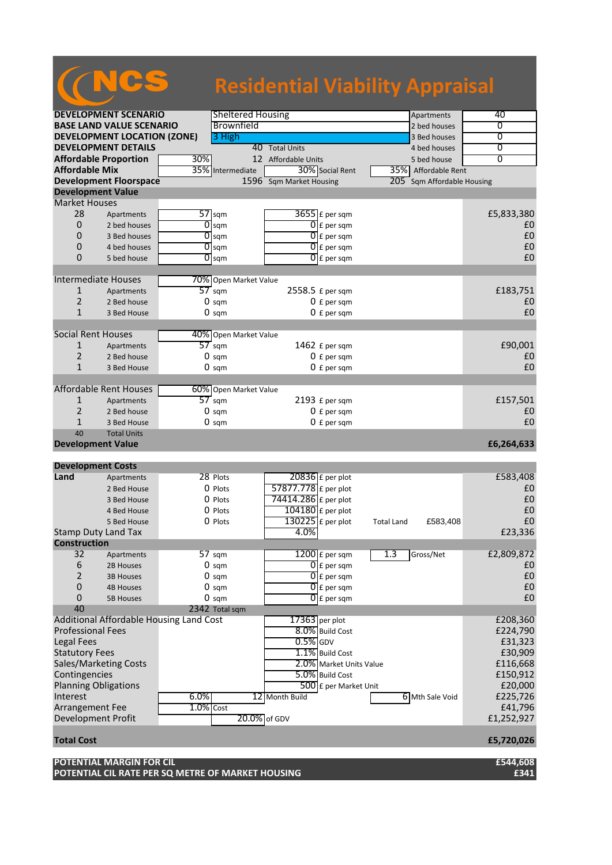|                              |                                         |              |                          | <b>Residential Viability Appraisal</b> |                          |                   |                        |                |
|------------------------------|-----------------------------------------|--------------|--------------------------|----------------------------------------|--------------------------|-------------------|------------------------|----------------|
|                              | <b>DEVELOPMENT SCENARIO</b>             |              | <b>Sheltered Housing</b> |                                        |                          |                   | Apartments             | 40             |
|                              | <b>BASE LAND VALUE SCENARIO</b>         |              | Brownfield               |                                        |                          |                   | 2 bed houses           | 0              |
|                              | <b>DEVELOPMENT LOCATION (ZONE)</b>      |              | 3 High                   |                                        |                          |                   | 3 Bed houses           | $\overline{0}$ |
|                              | <b>DEVELOPMENT DETAILS</b>              |              |                          | 40 Total Units                         |                          |                   | 4 bed houses           | 0              |
| <b>Affordable Proportion</b> |                                         | 30%          |                          | 12 Affordable Units                    |                          |                   | 5 bed house            | $\overline{0}$ |
| <b>Affordable Mix</b>        |                                         | 35%          | Intermediate             |                                        | 30% Social Rent          |                   | 35% Affordable Rent    |                |
|                              | <b>Development Floorspace</b>           |              |                          | 1596 Sqm Market Housing                |                          | 205               | Sqm Affordable Housing |                |
| <b>Development Value</b>     |                                         |              |                          |                                        |                          |                   |                        |                |
| <b>Market Houses</b>         |                                         |              |                          |                                        |                          |                   |                        |                |
| 28                           | Apartments                              |              | $57$ sqm                 |                                        | $3655$ $E$ per sqm       |                   |                        | £5,833,380     |
| 0                            | 2 bed houses                            | 0            | sqm                      |                                        | $\overline{0}$ E per sqm |                   |                        | £0             |
| 0                            | 3 Bed houses                            |              | $\overline{O}$ sqm       |                                        | $\overline{0}$ E per sqm |                   |                        | £0             |
| 0                            | 4 bed houses                            |              | $\overline{0}$ sqm       | 0                                      | £ per sqm                |                   |                        | £0             |
| 0                            | 5 bed house                             |              | $\overline{O}$ sqm       |                                        | $0$ E per sqm            |                   |                        | £0             |
|                              |                                         |              |                          |                                        |                          |                   |                        |                |
| <b>Intermediate Houses</b>   |                                         |              | 70% Open Market Value    |                                        |                          |                   |                        |                |
| $\mathbf{1}$                 | Apartments                              |              | $57$ sqm                 | 2558.5 £ per sqm                       |                          |                   |                        | £183,751       |
| $\overline{2}$               | 2 Bed house                             |              | $0 \text{ sqm}$          |                                        | $0 f per$ sqm            |                   |                        | £0             |
| $\mathbf{1}$                 | 3 Bed House                             |              | $0 \text{ sqm}$          |                                        | $0 f per$ sqm            |                   |                        | £0             |
|                              |                                         |              |                          |                                        |                          |                   |                        |                |
| <b>Social Rent Houses</b>    |                                         |              | 40% Open Market Value    |                                        |                          |                   |                        |                |
| 1                            | Apartments                              |              | $57 \text{ sqm}$         |                                        | 1462 $E$ per sqm         |                   |                        | £90,001        |
| $\overline{2}$               | 2 Bed house                             |              | $0 \text{ sqm}$          |                                        | $0 f per$ sqm            |                   |                        | £0             |
| $\mathbf{1}$                 | 3 Bed House                             |              | $0 \text{ sqm}$          |                                        | $0 f per$ sqm            |                   |                        | £0             |
|                              |                                         |              |                          |                                        |                          |                   |                        |                |
|                              | <b>Affordable Rent Houses</b>           |              | 60% Open Market Value    |                                        |                          |                   |                        |                |
| 1                            | Apartments                              |              | $57$ sqm                 |                                        | 2193 £ per sqm           |                   |                        | £157,501       |
| $\overline{2}$               | 2 Bed house                             |              | $0 \text{ sqm}$          |                                        | $0 f per$ sqm            |                   |                        | £0             |
| $\mathbf{1}$                 | 3 Bed House                             |              | $0 \text{ sqm}$          |                                        | $0 f per$ sqm            |                   |                        | £0             |
| 40                           | <b>Total Units</b>                      |              |                          |                                        |                          |                   |                        |                |
| <b>Development Value</b>     |                                         |              |                          |                                        |                          |                   |                        | £6,264,633     |
| <b>Development Costs</b>     |                                         |              |                          |                                        |                          |                   |                        |                |
| Land                         | Apartments                              |              | 28 Plots                 | 20836 £ per plot                       |                          |                   |                        | £583,408       |
|                              | 2 Bed House                             |              | O Plots                  | 57877.778 £ per plot                   |                          |                   |                        | £0             |
|                              | 3 Bed House                             |              | O Plots                  | 74414.286 £ per plot                   |                          |                   |                        | £0             |
|                              | 4 Bed House                             |              | 0 Plots                  | $104180$ £ per plot                    |                          |                   |                        | £0             |
|                              | 5 Bed House                             |              | 0 Plots                  | $130225$ £ per plot                    |                          | <b>Total Land</b> | £583,408               | £0             |
| Stamp Duty Land Tax          |                                         |              |                          | 4.0%                                   |                          |                   |                        | £23,336        |
| <b>Construction</b>          |                                         |              |                          |                                        |                          |                   |                        |                |
| 32                           | Apartments                              |              | 57 sqm                   |                                        | $1200$ $E$ per sqm       | 1.3               | Gross/Net              | £2,809,872     |
| 6                            | 2B Houses                               |              | $0 \text{ sqm}$          |                                        | $\overline{0}$ £ per sqm |                   |                        | £0             |
| $\overline{2}$               | <b>3B Houses</b>                        |              | $0 \text{ sqm}$          |                                        | $[0]$ £ per sqm          |                   |                        | £0             |
| 0                            | <b>4B Houses</b>                        |              | $0 \text{ sam}$          |                                        | $\overline{0}$ E per sqm |                   |                        | £0             |
| 0                            | <b>5B Houses</b>                        |              | $0 \text{ sqm}$          |                                        | $\overline{O}$ E per sqm |                   |                        | £0             |
| 40                           |                                         |              | 2342 Total sqm           |                                        |                          |                   |                        |                |
|                              | Additional Affordable Housing Land Cost |              |                          | $17363$ per plot                       |                          |                   |                        | £208,360       |
| <b>Professional Fees</b>     |                                         |              |                          |                                        | 8.0% Build Cost          |                   |                        | £224,790       |
| Legal Fees                   |                                         |              |                          | $0.5%$ GDV                             |                          |                   |                        | £31,323        |
| <b>Statutory Fees</b>        |                                         |              |                          |                                        | 1.1% Build Cost          |                   |                        | £30,909        |
| Sales/Marketing Costs        |                                         |              |                          |                                        | 2.0% Market Units Value  |                   |                        | £116,668       |
| Contingencies                |                                         |              |                          |                                        | 5.0% Build Cost          |                   |                        | £150,912       |
| <b>Planning Obligations</b>  |                                         |              |                          |                                        | 500 £ per Market Unit    |                   |                        | £20,000        |
| Interest                     |                                         | $6.0\%$      |                          | 12 Month Build                         |                          |                   | 6 Mth Sale Void        | £225,726       |
| Arrangement Fee              |                                         | $1.0\%$ Cost |                          |                                        |                          |                   |                        | £41,796        |
| <b>Development Profit</b>    |                                         |              | 20.0% of GDV             |                                        |                          |                   |                        | £1,252,927     |
| <b>Total Cost</b>            |                                         |              |                          |                                        |                          |                   |                        | £5,720,026     |
|                              | POTENTIAL MARGIN FOR CIL                |              |                          |                                        |                          |                   |                        | £544,608       |

and the control of the control of

**POTENTIAL CIL RATE PER SQ METRE OF MARKET HOUSING £341**